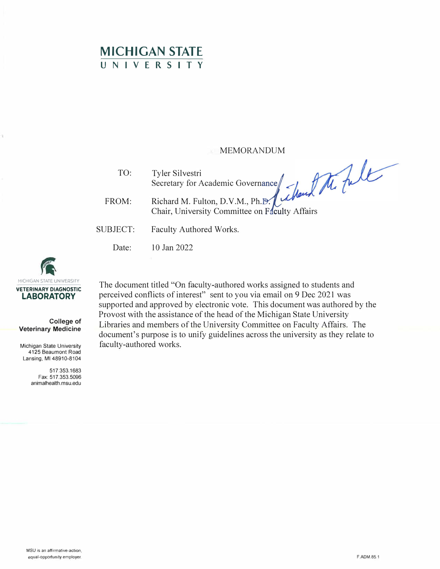## **MICHIGAN STATE UNIVERSITY**

## MEMORANDUM

 $\left\langle \right\rangle$ 

TO: Tyler Silvestri

FROM: Secretary for Academic Governance Chair, University Committee on Faculty Affairs

- SUBJECT: Faculty Authored Works.
	- Date: 10 Jan 2022



**College of Veterinary Medicine** 

Michigan State University 4125 Beaumont Road Lansing, Ml 48910-8104

> 517.353.1683 Fax: 517.353.5096 animalhealth.msu.edu

The document titled "On faculty-authored works assigned to students and perceived conflicts of interest" sent to you via email on 9 Dec 2021 was supported and approved by electronic vote. This document was authored by the Provost with the assistance of the head of the Michigan State University Libraries and members of the University Committee on Faculty Affairs. The document's purpose is to unify guidelines across the university as they relate to faculty-authored works.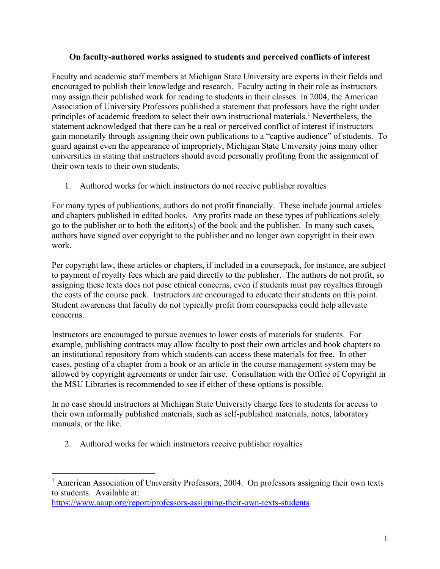## **On faculty-authored works assigned to students and perceived conflicts of interest**

Faculty and academic staff members at Michigan State University are experts in their fields and encouraged to publish their knowledge and research. Faculty acting in their role as instructors may assign their published work for reading to students in their classes. In 2004, the American Association of University Professors published a statement that professors have the right under principles of academic freedom to select their own instructional materials.<sup>1</sup> Nevertheless, the statement acknowledged that there can be a real or perceived conflict of interest if instructors gain monetarily through assigning their own publications to a "captive audience" of students. To guard against even the appearance of impropriety, Michigan State University joins many other universities in stating that instructors should avoid personally profiting from the assignment of their own texts to their own students.

1. Authored works for which instructors do not receive publisher royalties

For many types of publications, authors do not profit financially. These include journal articles and chapters published in edited books. Any profits made on these types of publications solely go to the publisher or to both the editor(s) of the book and the publisher. In many such cases, authors have signed over copyright to the publisher and no longer own copyright in their own work.

Per copyright law, these articles or chapters, if included in a coursepack, for instance, are subject to payment of royalty fees which are paid directly to the publisher. The authors do not profit, so assigning these texts does not pose ethical concerns, even if students must pay royalties through the costs of the course pack. Instructors are encouraged to educate their students on this point. Student awareness that faculty do not typically profit from coursepacks could help alleviate concerns.

Instructors are encouraged to pursue avenues to lower costs of materials for students. For example, publishing contracts may allow faculty to post their own articles and book chapters to an institutional repository from which students can access these materials for free. In other cases, posting of a chapter from a book or an article in the course management system may be allowed by copyright agreements or under fair use. Consultation with the Office of Copyright in the MSU Libraries is recommended to see if either of these options is possible.

In no case should instructors at Michigan State University charge fees to students for access to their own informally published materials, such as self-published materials, notes, laboratory manuals, or the like.

2. Authored works for which instructors receive publisher royalties

<https://www.aaup.org/report/professors-assigning-their-own-texts-students>

<sup>&</sup>lt;sup>1</sup> American Association of University Professors, 2004. On professors assigning their own texts to students. Available at: